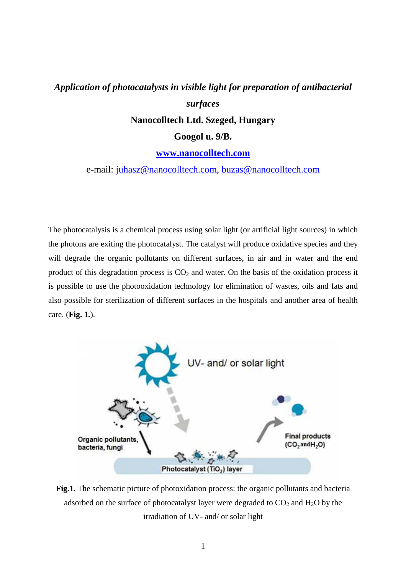## *Application of photocatalysts in visible light for preparation of antibacterial surfaces*

**Nanocolltech Ltd. Szeged, Hungary** 

**Googol u. 9/B.** 

## **www.nanocolltech.com**

e-mail: juhasz@nanocolltech.com, buzas@nanocolltech.com

The photocatalysis is a chemical process using solar light (or artificial light sources) in which the photons are exiting the photocatalyst. The catalyst will produce oxidative species and they will degrade the organic pollutants on different surfaces, in air and in water and the end product of this degradation process is  $CO<sub>2</sub>$  and water. On the basis of the oxidation process it is possible to use the photooxidation technology for elimination of wastes, oils and fats and also possible for sterilization of different surfaces in the hospitals and another area of health care. (**Fig. 1.**).



**Fig.1.** The schematic picture of photoxidation process: the organic pollutants and bacteria adsorbed on the surface of photocatalyst layer were degraded to  $CO<sub>2</sub>$  and  $H<sub>2</sub>O$  by the irradiation of UV- and/ or solar light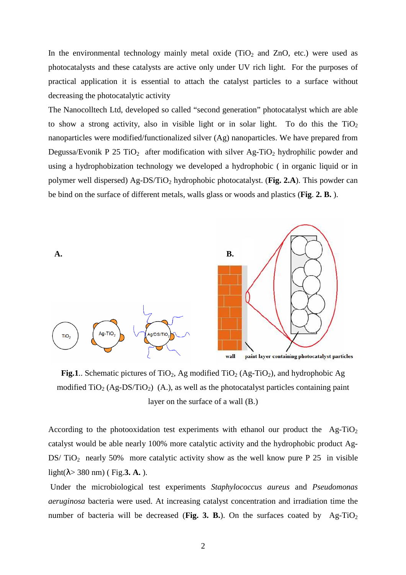In the environmental technology mainly metal oxide (TiO<sub>2</sub> and ZnO, etc.) were used as photocatalysts and these catalysts are active only under UV rich light. For the purposes of practical application it is essential to attach the catalyst particles to a surface without decreasing the photocatalytic activity

The Nanocolltech Ltd, developed so called "second generation" photocatalyst which are able to show a strong activity, also in visible light or in solar light. To do this the  $TiO<sub>2</sub>$ nanoparticles were modified/functionalized silver (Ag) nanoparticles. We have prepared from Degussa/Evonik P 25 TiO<sub>2</sub> after modification with silver  $Ag-TiO<sub>2</sub>$  hydrophilic powder and using a hydrophobization technology we developed a hydrophobic ( in organic liquid or in polymer well dispersed) Ag-DS/TiO2 hydrophobic photocatalyst. (**Fig. 2.A**). This powder can be bind on the surface of different metals, walls glass or woods and plastics (**Fig**. **2. B.** ).



**Fig.1**.. Schematic pictures of TiO<sub>2</sub>, Ag modified TiO<sub>2</sub> (Ag-TiO<sub>2</sub>), and hydrophobic Ag modified  $TiO<sub>2</sub> (Ag-DS/TiO<sub>2</sub>)$  (A.), as well as the photocatalyst particles containing paint layer on the surface of a wall (B.)

According to the photooxidation test experiments with ethanol our product the  $Ag-TiO<sub>2</sub>$ catalyst would be able nearly 100% more catalytic activity and the hydrophobic product Ag-DS/ $TiO<sub>2</sub>$  nearly 50% more catalytic activity show as the well know pure P 25 in visible light(λ> 380 nm) ( Fig.**3. A.** ).

 Under the microbiological test experiments *Staphylococcus aureus* and *Pseudomonas aeruginosa* bacteria were used. At increasing catalyst concentration and irradiation time the number of bacteria will be decreased (Fig. 3. B.). On the surfaces coated by  $Ag-TiO<sub>2</sub>$